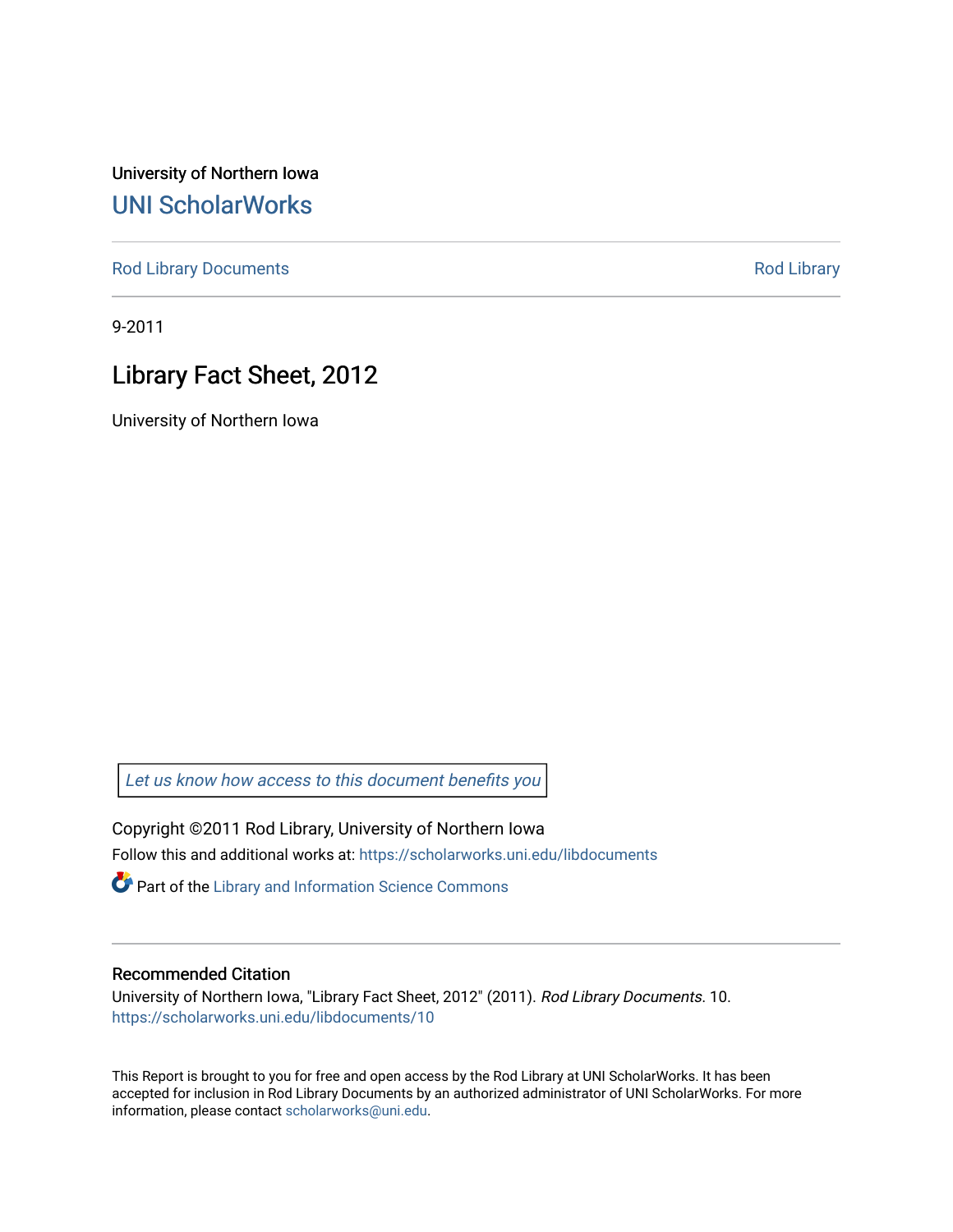University of Northern Iowa [UNI ScholarWorks](https://scholarworks.uni.edu/) 

[Rod Library Documents](https://scholarworks.uni.edu/libdocuments) **[Rod Library](https://scholarworks.uni.edu/lib) Rod Library** 

9-2011

# Library Fact Sheet, 2012

University of Northern Iowa

[Let us know how access to this document benefits you](https://scholarworks.uni.edu/feedback_form.html) 

Copyright ©2011 Rod Library, University of Northern Iowa Follow this and additional works at: [https://scholarworks.uni.edu/libdocuments](https://scholarworks.uni.edu/libdocuments?utm_source=scholarworks.uni.edu%2Flibdocuments%2F10&utm_medium=PDF&utm_campaign=PDFCoverPages) 

**Part of the Library and Information Science Commons** 

#### Recommended Citation

University of Northern Iowa, "Library Fact Sheet, 2012" (2011). Rod Library Documents. 10. [https://scholarworks.uni.edu/libdocuments/10](https://scholarworks.uni.edu/libdocuments/10?utm_source=scholarworks.uni.edu%2Flibdocuments%2F10&utm_medium=PDF&utm_campaign=PDFCoverPages)

This Report is brought to you for free and open access by the Rod Library at UNI ScholarWorks. It has been accepted for inclusion in Rod Library Documents by an authorized administrator of UNI ScholarWorks. For more information, please contact [scholarworks@uni.edu.](mailto:scholarworks@uni.edu)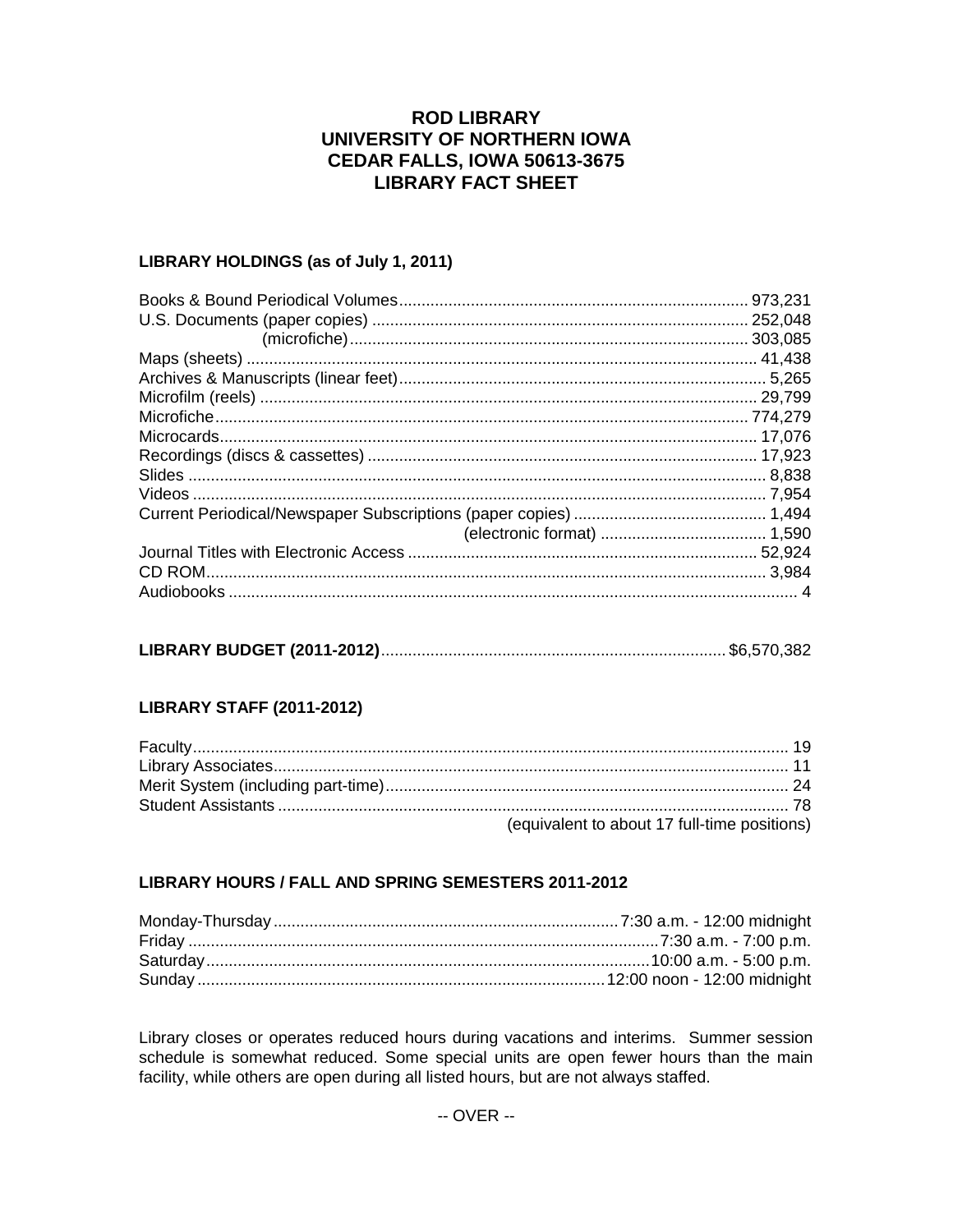## **ROD LIBRARY** UNIVERSITY OF NORTHERN IOWA **CEDAR FALLS, IOWA 50613-3675 LIBRARY FACT SHEET**

#### LIBRARY HOLDINGS (as of July 1, 2011)

| .973,231 |
|----------|
|          |
|          |
|          |
|          |
|          |
|          |
|          |
|          |
|          |
|          |
|          |
|          |
|          |
|          |

### **LIBRARY STAFF (2011-2012)**

| (equivalent to about 17 full-time positions) |
|----------------------------------------------|

#### LIBRARY HOURS / FALL AND SPRING SEMESTERS 2011-2012

Library closes or operates reduced hours during vacations and interims. Summer session schedule is somewhat reduced. Some special units are open fewer hours than the main facility, while others are open during all listed hours, but are not always staffed.